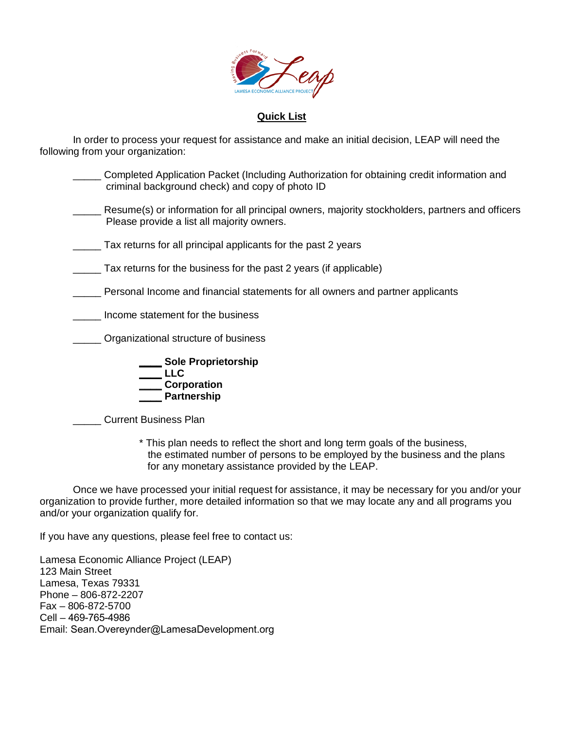

#### **Quick List**

In order to process your request for assistance and make an initial decision, LEAP will need the following from your organization:

| Completed Application Packet (Including Authorization for obtaining credit information and<br>criminal background check) and copy of photo ID |
|-----------------------------------------------------------------------------------------------------------------------------------------------|
| Resume(s) or information for all principal owners, majority stockholders, partners and officers<br>Please provide a list all majority owners. |
| Tax returns for all principal applicants for the past 2 years                                                                                 |
| Tax returns for the business for the past 2 years (if applicable)                                                                             |
| Personal Income and financial statements for all owners and partner applicants                                                                |
| Income statement for the business                                                                                                             |
| Organizational structure of business                                                                                                          |
| <b>Sole Proprietorship</b><br>LLC<br>Corporation<br><b>Partnership</b>                                                                        |

\_\_\_\_\_ Current Business Plan

\* This plan needs to reflect the short and long term goals of the business, the estimated number of persons to be employed by the business and the plans for any monetary assistance provided by the LEAP.

Once we have processed your initial request for assistance, it may be necessary for you and/or your organization to provide further, more detailed information so that we may locate any and all programs you and/or your organization qualify for.

If you have any questions, please feel free to contact us:

Lamesa Economic Alliance Project (LEAP) 123 Main Street Lamesa, Texas 79331 Phone – 806-872-2207 Fax – 806-872-5700 Cell – 469-765-4986 Email: Sean.Overeynder@LamesaDevelopment.org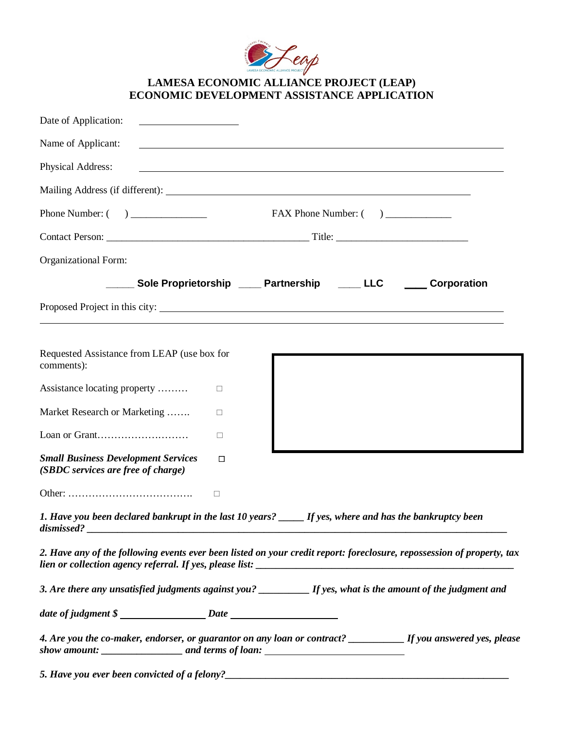

## **LAMESA ECONOMIC ALLIANCE PROJECT (LEAP) ECONOMIC DEVELOPMENT ASSISTANCE APPLICATION**

| Date of Application:<br>the control of the control of the control of the control of the control of                                                                                                                             |                                                                                                                                                                                                                                        |
|--------------------------------------------------------------------------------------------------------------------------------------------------------------------------------------------------------------------------------|----------------------------------------------------------------------------------------------------------------------------------------------------------------------------------------------------------------------------------------|
| Name of Applicant:                                                                                                                                                                                                             |                                                                                                                                                                                                                                        |
| Physical Address:                                                                                                                                                                                                              | <u> 1989 - Johann Stoff, deutscher Stoffen und der Stoffen und der Stoffen und der Stoffen und der Stoffen und de</u>                                                                                                                  |
|                                                                                                                                                                                                                                |                                                                                                                                                                                                                                        |
|                                                                                                                                                                                                                                |                                                                                                                                                                                                                                        |
|                                                                                                                                                                                                                                |                                                                                                                                                                                                                                        |
| Organizational Form:                                                                                                                                                                                                           |                                                                                                                                                                                                                                        |
|                                                                                                                                                                                                                                | _____ Sole Proprietorship _____ Partnership _____ LLC<br>_____ Corporation                                                                                                                                                             |
|                                                                                                                                                                                                                                | Proposed Project in this city:                                                                                                                                                                                                         |
|                                                                                                                                                                                                                                |                                                                                                                                                                                                                                        |
| Requested Assistance from LEAP (use box for<br>comments):                                                                                                                                                                      |                                                                                                                                                                                                                                        |
| Assistance locating property<br>$\Box$                                                                                                                                                                                         |                                                                                                                                                                                                                                        |
| Market Research or Marketing<br>□                                                                                                                                                                                              |                                                                                                                                                                                                                                        |
| Loan or Grant<br>□                                                                                                                                                                                                             |                                                                                                                                                                                                                                        |
| <b>Small Business Development Services</b><br>□<br>(SBDC services are free of charge)                                                                                                                                          |                                                                                                                                                                                                                                        |
| $\Box$                                                                                                                                                                                                                         |                                                                                                                                                                                                                                        |
| dismissed? The contract of the contract of the contract of the contract of the contract of the contract of the contract of the contract of the contract of the contract of the contract of the contract of the contract of the | 1. Have you been declared bankrupt in the last 10 years? ______ If yes, where and has the bankruptcy been                                                                                                                              |
|                                                                                                                                                                                                                                | 2. Have any of the following events ever been listed on your credit report: foreclosure, repossession of property, tax                                                                                                                 |
|                                                                                                                                                                                                                                | 3. Are there any unsatisfied judgments against you? ________ If yes, what is the amount of the judgment and                                                                                                                            |
|                                                                                                                                                                                                                                |                                                                                                                                                                                                                                        |
|                                                                                                                                                                                                                                | 4. Are you the co-maker, endorser, or guarantor on any loan or contract? __________ If you answered yes, please                                                                                                                        |
|                                                                                                                                                                                                                                | 5. Have you ever been convicted of a felony?<br><u> and the manual contract of the set of the set of the set of the set of the set of the set of the set of the set of the set of the set of the set of the set of the set of the </u> |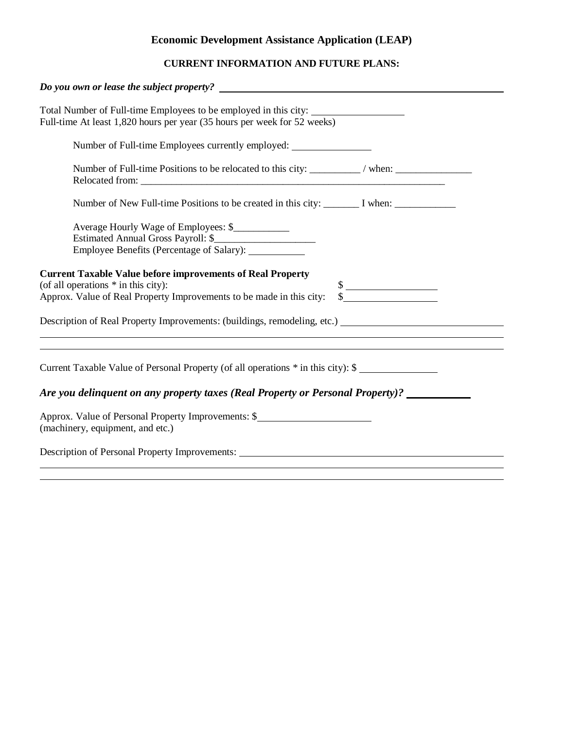# **Economic Development Assistance Application (LEAP)**

## **CURRENT INFORMATION AND FUTURE PLANS:**

| Do you own or lease the subject property?                                                                                                                                                                         |
|-------------------------------------------------------------------------------------------------------------------------------------------------------------------------------------------------------------------|
| Total Number of Full-time Employees to be employed in this city:<br>Full-time At least 1,820 hours per year (35 hours per week for 52 weeks)                                                                      |
| Number of Full-time Employees currently employed:                                                                                                                                                                 |
| Number of Full-time Positions to be relocated to this city: ________/ when: ________________________                                                                                                              |
| Number of New Full-time Positions to be created in this city: ________ I when: _____________________                                                                                                              |
| Average Hourly Wage of Employees: \$<br>Estimated Annual Gross Payroll: \$<br>Employee Benefits (Percentage of Salary): ___________                                                                               |
| <b>Current Taxable Value before improvements of Real Property</b><br>(of all operations $*$ in this city):<br>$\frac{\text{S}}{\text{S}}$<br>Approx. Value of Real Property Improvements to be made in this city: |
| Description of Real Property Improvements: (buildings, remodeling, etc.)<br>,我们也不会有什么。""我们的人,我们也不会有什么?""我们的人,我们也不会有什么?""我们的人,我们的人,我们的人,我们的人,我们的人,我们的人,我们的人,我                                                      |
| Current Taxable Value of Personal Property (of all operations $*$ in this city): \$<br>Are you delinquent on any property taxes (Real Property or Personal Property)? _____________________                       |
|                                                                                                                                                                                                                   |
| Approx. Value of Personal Property Improvements: \$<br>(machinery, equipment, and etc.)                                                                                                                           |
| Description of Personal Property Improvements:                                                                                                                                                                    |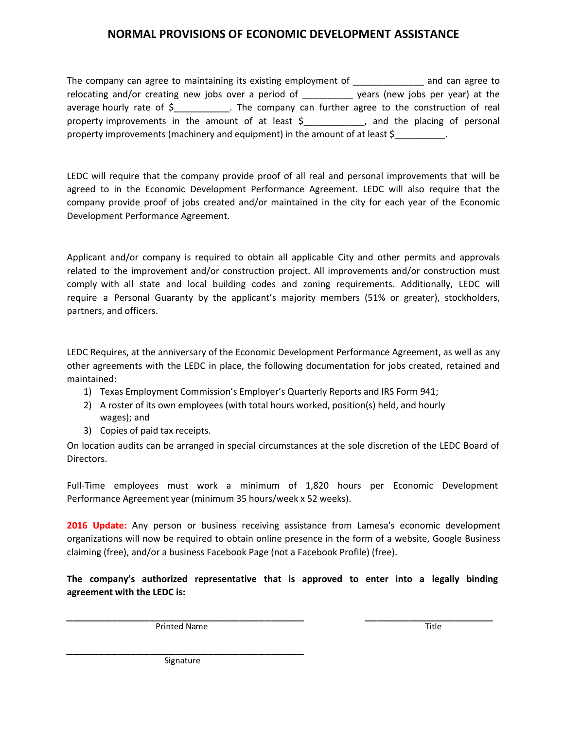### **NORMAL PROVISIONS OF ECONOMIC DEVELOPMENT ASSISTANCE**

The company can agree to maintaining its existing employment of **Example 2** and can agree to relocating and/or creating new jobs over a period of \_\_\_\_\_\_\_\_\_\_\_\_ years (new jobs per year) at the average hourly rate of \$ The company can further agree to the construction of real property improvements in the amount of at least \$\_\_\_\_\_\_\_\_\_\_\_, and the placing of personal property improvements (machinery and equipment) in the amount of at least \$

LEDC will require that the company provide proof of all real and personal improvements that will be agreed to in the Economic Development Performance Agreement. LEDC will also require that the company provide proof of jobs created and/or maintained in the city for each year of the Economic Development Performance Agreement.

Applicant and/or company is required to obtain all applicable City and other permits and approvals related to the improvement and/or construction project. All improvements and/or construction must comply with all state and local building codes and zoning requirements. Additionally, LEDC will require a Personal Guaranty by the applicant's majority members (51% or greater), stockholders, partners, and officers.

LEDC Requires, at the anniversary of the Economic Development Performance Agreement, as well as any other agreements with the LEDC in place, the following documentation for jobs created, retained and maintained:

- 1) Texas Employment Commission's Employer's Quarterly Reports and IRS Form 941;
- 2) A roster of its own employees (with total hours worked, position(s) held, and hourly wages); and
- 3) Copies of paid tax receipts.

On location audits can be arranged in special circumstances at the sole discretion of the LEDC Board of Directors.

Full-Time employees must work a minimum of 1,820 hours per Economic Development Performance Agreement year (minimum 35 hours/week x 52 weeks).

**2016 Update:** Any person or business receiving assistance from Lamesa's economic development organizations will now be required to obtain online presence in the form of a website, Google Business claiming (free), and/or a business Facebook Page (not a Facebook Profile) (free).

**The company's authorized representative that is approved to enter into a legally binding agreement with the LEDC is:**

\_\_\_\_\_\_\_\_\_\_\_\_\_\_\_\_\_\_\_\_\_\_\_\_\_\_\_\_\_\_\_\_\_\_\_\_\_ \_\_\_\_\_\_\_\_\_\_\_\_\_\_\_\_\_\_\_\_ Printed Name Title

\_\_\_\_\_\_\_\_\_\_\_\_\_\_\_\_\_\_\_\_\_\_\_\_\_\_\_\_\_\_\_\_\_\_\_\_\_ Signature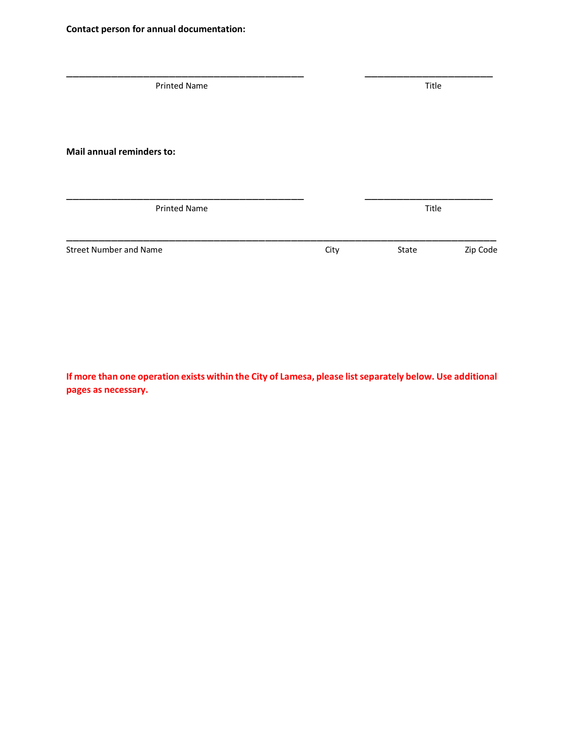| <b>Printed Name</b>           |      | Title |          |
|-------------------------------|------|-------|----------|
| Mail annual reminders to:     |      |       |          |
| <b>Printed Name</b>           |      | Title |          |
| <b>Street Number and Name</b> | City | State | Zip Code |

**If more than one operation exists within the City of Lamesa, please list separately below. Use additional pages as necessary.**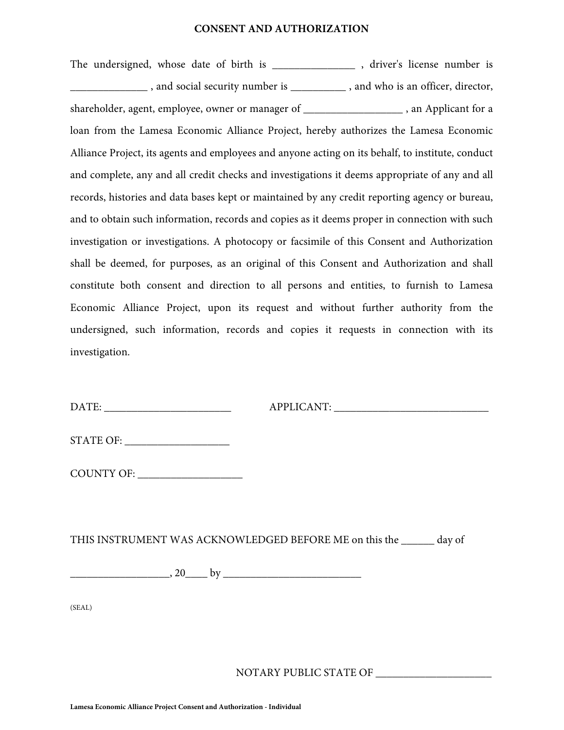#### **CONSENT AND AUTHORIZATION**

The undersigned, whose date of birth is \_\_\_\_\_\_\_\_\_\_\_\_\_\_\_\_, driver's license number is \_\_\_\_\_\_\_\_\_\_\_\_\_\_ , and social security number is \_\_\_\_\_\_\_\_\_\_ , and who is an officer, director, shareholder, agent, employee, owner or manager of \_\_\_\_\_\_\_\_\_\_\_\_\_\_\_\_\_\_\_\_\_\_, an Applicant for a loan from the Lamesa Economic Alliance Project, hereby authorizes the Lamesa Economic Alliance Project, its agents and employees and anyone acting on its behalf, to institute, conduct and complete, any and all credit checks and investigations it deems appropriate of any and all records, histories and data bases kept or maintained by any credit reporting agency or bureau, and to obtain such information, records and copies as it deems proper in connection with such investigation or investigations. A photocopy or facsimile of this Consent and Authorization shall be deemed, for purposes, as an original of this Consent and Authorization and shall constitute both consent and direction to all persons and entities, to furnish to Lamesa Economic Alliance Project, upon its request and without further authority from the undersigned, such information, records and copies it requests in connection with its investigation.

| DATE: |
|-------|
|-------|

 $APPLICANT:$ 

| <b>STATE OF:</b> |
|------------------|
|                  |

COUNTY OF: \_\_\_\_\_\_\_\_\_\_\_\_\_\_\_\_\_\_\_

THIS INSTRUMENT WAS ACKNOWLEDGED BEFORE ME on this the \_\_\_\_\_\_ day of \_\_\_\_\_\_\_\_\_\_\_\_\_\_\_\_\_\_, 20\_\_\_\_ by \_\_\_\_\_\_\_\_\_\_\_\_\_\_\_\_\_\_\_\_\_\_\_\_\_

(SEAL)

NOTARY PUBLIC STATE OF \_\_\_\_\_\_\_\_\_\_\_\_\_\_\_\_\_\_\_\_\_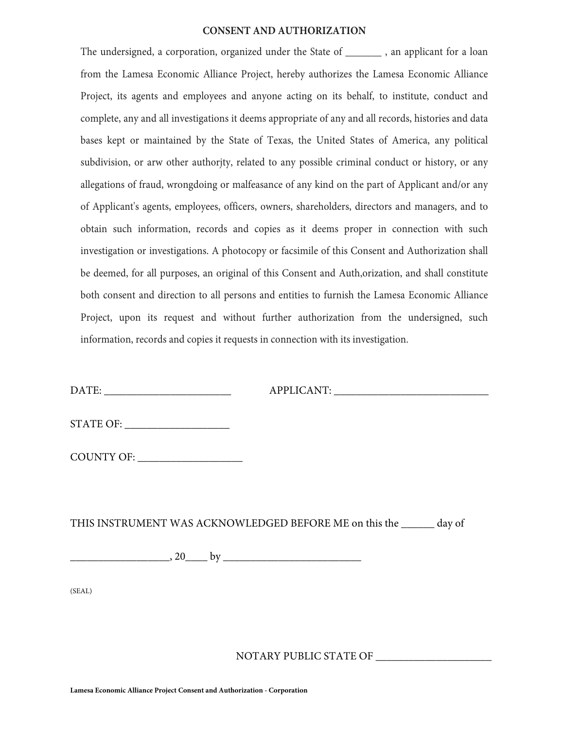#### **CONSENT AND AUTHORIZATION**

The undersigned, a corporation, organized under the State of \_\_\_\_\_\_\_\_, an applicant for a loan from the Lamesa Economic Alliance Project, hereby authorizes the Lamesa Economic Alliance Project, its agents and employees and anyone acting on its behalf, to institute, conduct and complete, any and all investigations it deems appropriate of any and all records, histories and data bases kept or maintained by the State of Texas, the United States of America, any political subdivision, or arw other authorjty, related to any possible criminal conduct or history, or any allegations of fraud, wrongdoing or malfeasance of any kind on the part of Applicant and/or any of Applicant's agents, employees, officers, owners, shareholders, directors and managers, and to obtain such information, records and copies as it deems proper in connection with such investigation or investigations. A photocopy or facsimile of this Consent and Authorization shall be deemed, for all purposes, an original of this Consent and Auth,orization, and shall constitute both consent and direction to all persons and entities to furnish the Lamesa Economic Alliance Project, upon its request and without further authorization from the undersigned, such information, records and copies it requests in connection with its investigation.

DATE: \_\_\_\_\_\_\_\_\_\_\_\_\_\_\_\_\_\_\_\_\_\_\_

APPLICANT: \_\_\_\_\_\_\_\_\_\_\_\_\_\_\_\_\_\_\_\_\_\_\_\_\_\_\_\_

STATE OF:

COUNTY OF: \_\_\_\_\_\_\_\_\_\_\_\_\_\_\_\_\_\_\_

THIS INSTRUMENT WAS ACKNOWLEDGED BEFORE ME on this the \_\_\_\_\_\_ day of \_\_\_\_\_\_\_\_\_\_\_\_\_\_\_\_\_\_, 20\_\_\_\_ by \_\_\_\_\_\_\_\_\_\_\_\_\_\_\_\_\_\_\_\_\_\_\_\_\_

(SEAL)

NOTARY PUBLIC STATE OF \_\_\_\_\_\_\_\_\_\_\_\_\_\_\_\_\_\_\_\_\_